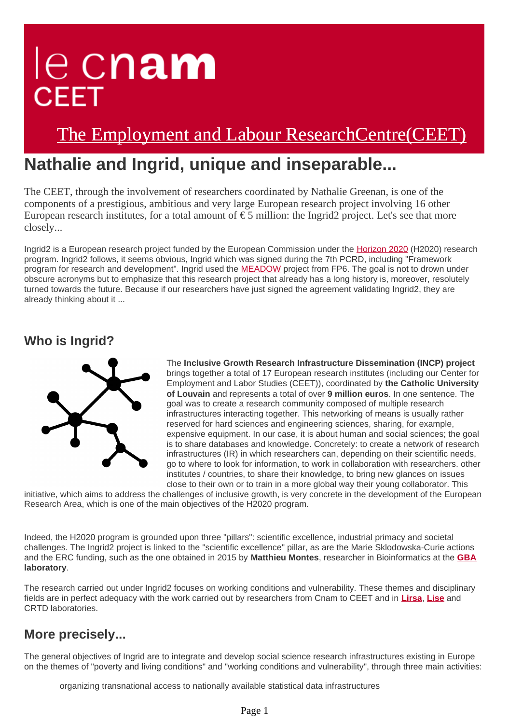# le cnam **CEET**

# [The Employment and Labour ResearchCentre\(CEET\)](https://ceet-en.cnam.fr/)

## **Nathalie and Ingrid, unique and inseparable...**

The CEET, through the involvement of researchers coordinated by Nathalie Greenan, is one of the components of a prestigious, ambitious and very large European research project involving 16 other European research institutes, for a total amount of  $\epsilon$  5 million: the Ingrid2 project. Let's see that more closely...

Ingrid2 is a European research project funded by the European Commission under the [Horizon 2020](http://www.horizon2020.gouv.fr/) (H2020) research program. Ingrid2 follows, it seems obvious, Ingrid which was signed during the 7th PCRD, including "Framework program for research and development". Ingrid used the [MEADOW](http://www.meadow-project.eu/) project from FP6. The goal is not to drown under obscure acronyms but to emphasize that this research project that already has a long history is, moreover, resolutely turned towards the future. Because if our researchers have just signed the agreement validating Ingrid2, they are already thinking about it ...

#### **Who is Ingrid?**



The **Inclusive Growth Research Infrastructure Dissemination (INCP) project** brings together a total of 17 European research institutes (including our Center for Employment and Labor Studies (CEET)), coordinated by **the Catholic University of Louvain** and represents a total of over **9 million euros**. In one sentence. The goal was to create a research community composed of multiple research infrastructures interacting together. This networking of means is usually rather reserved for hard sciences and engineering sciences, sharing, for example, expensive equipment. In our case, it is about human and social sciences; the goal is to share databases and knowledge. Concretely: to create a network of research infrastructures (IR) in which researchers can, depending on their scientific needs, go to where to look for information, to work in collaboration with researchers. other institutes / countries, to share their knowledge, to bring new glances on issues close to their own or to train in a more global way their young collaborator. This

initiative, which aims to address the challenges of inclusive growth, is very concrete in the development of the European Research Area, which is one of the main objectives of the H2020 program.

Indeed, the H2020 program is grounded upon three "pillars": scientific excellence, industrial primacy and societal challenges. The Ingrid2 project is linked to the "scientific excellence" pillar, as are the Marie Sklodowska-Curie actions and the ERC funding, such as the one obtained in 2015 by **Matthieu Montes**, researcher in Bioinformatics at the **[GBA](https://recherche.cnam.fr/aap-recherche/gbcm/genomique-bioinformatique-et-chimie-moleculaire-gbcm--658359.kjsp?RH=1553263973852) laboratory**.

The research carried out under Ingrid2 focuses on working conditions and vulnerability. These themes and disciplinary fields are in perfect adequacy with the work carried out by researchers from Cnam to CEET and in **[Lirsa](https://lirsa.cnam.fr/lirsa-laboratoire-interdisciplinaire-de-recherches-en-sciences-de-l-action/)**, **[Lise](https://lise-cnrs.cnam.fr/lise-laboratoire-interdisciplinaire-pour-la-sociologie-economique/)** and CRTD laboratories.

### **More precisely...**

The general objectives of Ingrid are to integrate and develop social science research infrastructures existing in Europe on the themes of "poverty and living conditions" and "working conditions and vulnerability", through three main activities:

organizing transnational access to nationally available statistical data infrastructures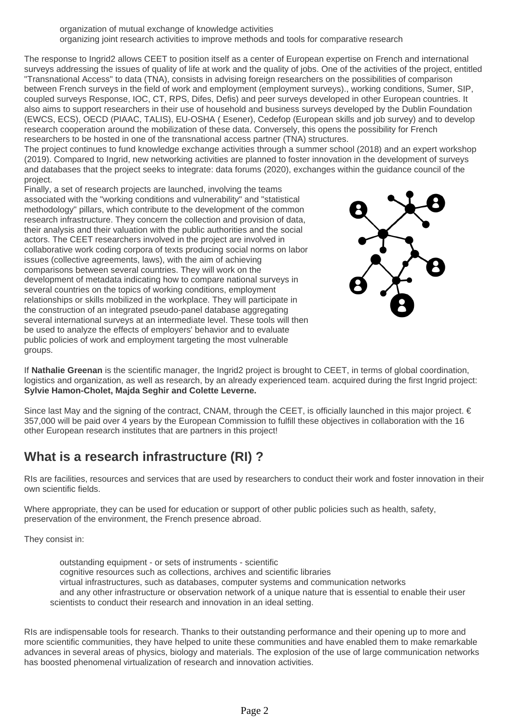organization of mutual exchange of knowledge activities organizing joint research activities to improve methods and tools for comparative research

The response to Ingrid2 allows CEET to position itself as a center of European expertise on French and international surveys addressing the issues of quality of life at work and the quality of jobs. One of the activities of the project, entitled "Transnational Access" to data (TNA), consists in advising foreign researchers on the possibilities of comparison between French surveys in the field of work and employment (employment surveys)., working conditions, Sumer, SIP, coupled surveys Response, IOC, CT, RPS, Difes, Defis) and peer surveys developed in other European countries. It also aims to support researchers in their use of household and business surveys developed by the Dublin Foundation (EWCS, ECS), OECD (PIAAC, TALIS), EU-OSHA ( Esener), Cedefop (European skills and job survey) and to develop research cooperation around the mobilization of these data. Conversely, this opens the possibility for French researchers to be hosted in one of the transnational access partner (TNA) structures.

The project continues to fund knowledge exchange activities through a summer school (2018) and an expert workshop (2019). Compared to Ingrid, new networking activities are planned to foster innovation in the development of surveys and databases that the project seeks to integrate: data forums (2020), exchanges within the guidance council of the project.

Finally, a set of research projects are launched, involving the teams associated with the "working conditions and vulnerability" and "statistical methodology" pillars, which contribute to the development of the common research infrastructure. They concern the collection and provision of data, their analysis and their valuation with the public authorities and the social actors. The CEET researchers involved in the project are involved in collaborative work coding corpora of texts producing social norms on labor issues (collective agreements, laws), with the aim of achieving comparisons between several countries. They will work on the development of metadata indicating how to compare national surveys in several countries on the topics of working conditions, employment relationships or skills mobilized in the workplace. They will participate in the construction of an integrated pseudo-panel database aggregating several international surveys at an intermediate level. These tools will then be used to analyze the effects of employers' behavior and to evaluate public policies of work and employment targeting the most vulnerable groups.



If **Nathalie Greenan** is the scientific manager, the Ingrid2 project is brought to CEET, in terms of global coordination, logistics and organization, as well as research, by an already experienced team. acquired during the first Ingrid project: **Sylvie Hamon-Cholet, Majda Seghir and Colette Leverne.**

Since last May and the signing of the contract, CNAM, through the CEET, is officially launched in this major project. € 357,000 will be paid over 4 years by the European Commission to fulfill these objectives in collaboration with the 16 other European research institutes that are partners in this project!

## **What is a research infrastructure (RI) ?**

RIs are facilities, resources and services that are used by researchers to conduct their work and foster innovation in their own scientific fields.

Where appropriate, they can be used for education or support of other public policies such as health, safety, preservation of the environment, the French presence abroad.

They consist in:

 outstanding equipment - or sets of instruments - scientific cognitive resources such as collections, archives and scientific libraries virtual infrastructures, such as databases, computer systems and communication networks and any other infrastructure or observation network of a unique nature that is essential to enable their user scientists to conduct their research and innovation in an ideal setting.

RIs are indispensable tools for research. Thanks to their outstanding performance and their opening up to more and more scientific communities, they have helped to unite these communities and have enabled them to make remarkable advances in several areas of physics, biology and materials. The explosion of the use of large communication networks has boosted phenomenal virtualization of research and innovation activities.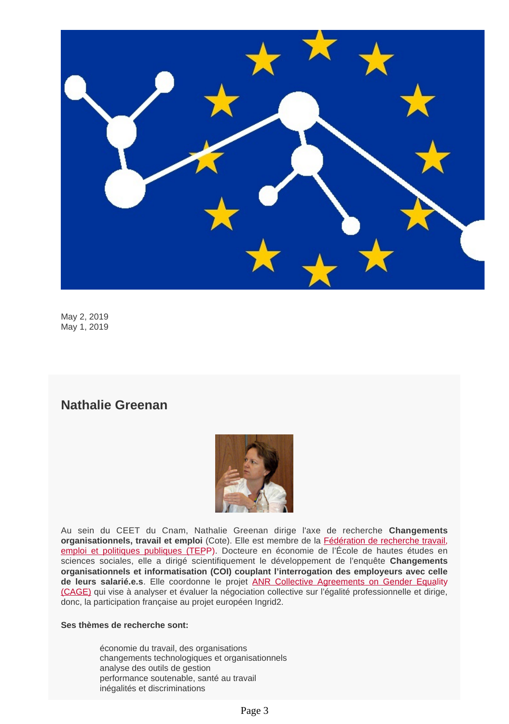

May 2, 2019 May 1, 2019

#### **Nathalie Greenan**



Au sein du CEET du Cnam, Nathalie Greenan dirige l'axe de recherche **Changements organisationnels, travail et emploi** (Cote). Elle est membre de la [Fédération de recherche travail,](http://www.tepp.eu/) [emploi et politiques publiques \(TEP](http://www.tepp.eu/)P). Docteure en économie de l'École de hautes études en sciences sociales, elle a dirigé scientifiquement le développement de l'enquête **Changements organisationnels et informatisation (COI) couplant l'interrogation des employeurs avec celle de leurs salarié.e.s**. Elle coordonne le projet [ANR Collective Agreements on Gender Equa](http://www.agence-nationale-recherche.fr/?Project=ANR-16-CE26-0019)lity [\(CAGE\)](http://www.agence-nationale-recherche.fr/?Project=ANR-16-CE26-0019) qui vise à analyser et évaluer la négociation collective sur l'égalité professionnelle et dirige, donc, la participation française au projet européen Ingrid2.

#### **Ses thèmes de recherche sont:**

économie du travail, des organisations changements technologiques et organisationnels analyse des outils de gestion performance soutenable, santé au travail inégalités et discriminations